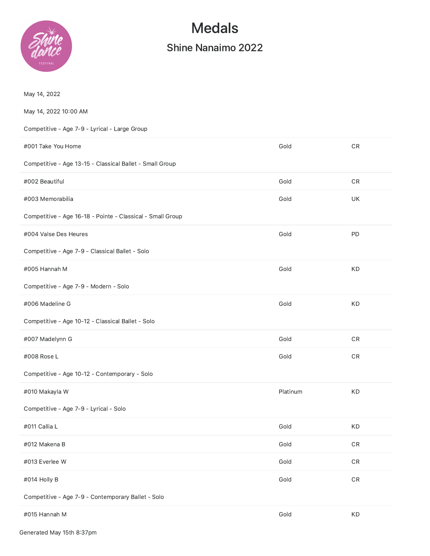

# Medals

# Shine Nanaimo 2022

| May 14, 2022                                               |          |               |
|------------------------------------------------------------|----------|---------------|
| May 14, 2022 10:00 AM                                      |          |               |
| Competitive - Age 7-9 - Lyrical - Large Group              |          |               |
| #001 Take You Home                                         | Gold     | ${\sf CR}$    |
| Competitive - Age 13-15 - Classical Ballet - Small Group   |          |               |
| #002 Beautiful                                             | Gold     | ${\sf CR}$    |
| #003 Memorabilia                                           | Gold     | UK            |
| Competitive - Age 16-18 - Pointe - Classical - Small Group |          |               |
| #004 Valse Des Heures                                      | Gold     | PD            |
| Competitive - Age 7-9 - Classical Ballet - Solo            |          |               |
| #005 Hannah M                                              | Gold     | KD            |
| Competitive - Age 7-9 - Modern - Solo                      |          |               |
| #006 Madeline G                                            | Gold     | KD            |
| Competitive - Age 10-12 - Classical Ballet - Solo          |          |               |
| #007 Madelynn G                                            | Gold     | $\mathsf{CR}$ |
| #008 Rose L                                                | Gold     | ${\sf CR}$    |
| Competitive - Age 10-12 - Contemporary - Solo              |          |               |
| #010 Makayla W                                             | Platinum | KD            |
| Competitive - Age 7-9 - Lyrical - Solo                     |          |               |
| #011 Callia L                                              | Gold     | KD            |
| #012 Makena B                                              | Gold     | ${\sf CR}$    |
| #013 Everlee W                                             | Gold     | $\mathsf{CR}$ |
| #014 Holly B                                               | Gold     | ${\sf CR}$    |
| Competitive - Age 7-9 - Contemporary Ballet - Solo         |          |               |
| #015 Hannah M                                              | Gold     | KD            |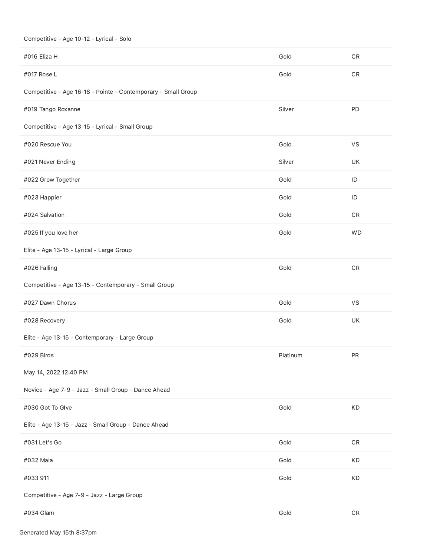## Competitive - Age 10-12 - Lyrical - Solo

| #016 Eliza H                                                  | Gold     | ${\sf CR}$    |
|---------------------------------------------------------------|----------|---------------|
| #017 Rose L                                                   | Gold     | ${\sf CR}$    |
| Competitive - Age 16-18 - Pointe - Contemporary - Small Group |          |               |
| #019 Tango Roxanne                                            | Silver   | PD            |
| Competitive - Age 13-15 - Lyrical - Small Group               |          |               |
| #020 Rescue You                                               | Gold     | VS            |
| #021 Never Ending                                             | Silver   | UK            |
| #022 Grow Together                                            | Gold     | ID            |
| #023 Happier                                                  | Gold     | $\sf ID$      |
| #024 Salvation                                                | Gold     | $\mathsf{CR}$ |
| #025 If you love her                                          | Gold     | <b>WD</b>     |
| Elite - Age 13-15 - Lyrical - Large Group                     |          |               |
| #026 Falling                                                  | Gold     | ${\sf CR}$    |
| Competitive - Age 13-15 - Contemporary - Small Group          |          |               |
| #027 Dawn Chorus                                              | Gold     | VS            |
| #028 Recovery                                                 | Gold     | UK            |
| Elite - Age 13-15 - Contemporary - Large Group                |          |               |
| #029 Birds                                                    | Platinum | PR            |
| May 14, 2022 12:40 PM                                         |          |               |
| Novice - Age 7-9 - Jazz - Small Group - Dance Ahead           |          |               |
| #030 Got To Glve                                              | Gold     | KD            |
| Elite - Age 13-15 - Jazz - Small Group - Dance Ahead          |          |               |
| #031 Let's Go                                                 | Gold     | ${\sf CR}$    |
| #032 Mala                                                     | Gold     | KD            |
| #033 911                                                      | Gold     | KD            |
|                                                               |          |               |
| Competitive - Age 7-9 - Jazz - Large Group                    |          |               |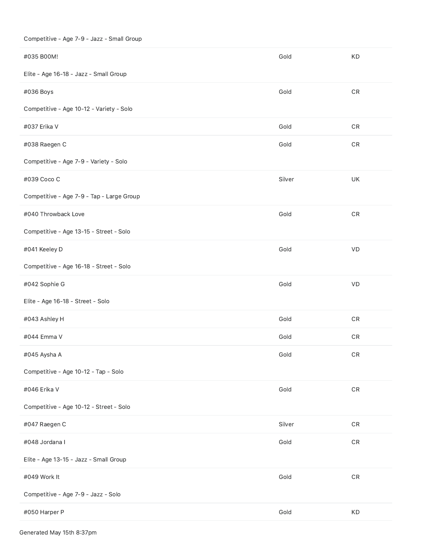# Competitive - Age 7-9 - Jazz - Small Group

| #035 B00M!                                | Gold   | <b>KD</b>     |
|-------------------------------------------|--------|---------------|
| Elite - Age 16-18 - Jazz - Small Group    |        |               |
| #036 Boys                                 | Gold   | $\mathsf{CR}$ |
| Competitive - Age 10-12 - Variety - Solo  |        |               |
| #037 Erika V                              | Gold   | ${\sf CR}$    |
| #038 Raegen C                             | Gold   | $\mathsf{CR}$ |
| Competitive - Age 7-9 - Variety - Solo    |        |               |
| #039 Coco C                               | Silver | UK            |
| Competitive - Age 7-9 - Tap - Large Group |        |               |
| #040 Throwback Love                       | Gold   | ${\sf CR}$    |
| Competitive - Age 13-15 - Street - Solo   |        |               |
| #041 Keeley D                             | Gold   | VD            |
| Competitive - Age 16-18 - Street - Solo   |        |               |
| #042 Sophie G                             | Gold   | VD            |
| Elite - Age 16-18 - Street - Solo         |        |               |
| #043 Ashley H                             | Gold   | $\mathsf{CR}$ |
| #044 Emma V                               | Gold   | ${\sf CR}$    |
| #045 Aysha A                              | Gold   | CR            |
| Competitive - Age 10-12 - Tap - Solo      |        |               |
| #046 Erika V                              | Gold   | ${\sf CR}$    |
| Competitive - Age 10-12 - Street - Solo   |        |               |
| #047 Raegen C                             | Silver | $\mathsf{CR}$ |
| #048 Jordana I                            | Gold   | $\mathsf{CR}$ |
| Elite - Age 13-15 - Jazz - Small Group    |        |               |
| #049 Work It                              | Gold   | $\mathsf{CR}$ |
| Competitive - Age 7-9 - Jazz - Solo       |        |               |
| #050 Harper P                             | Gold   | KD            |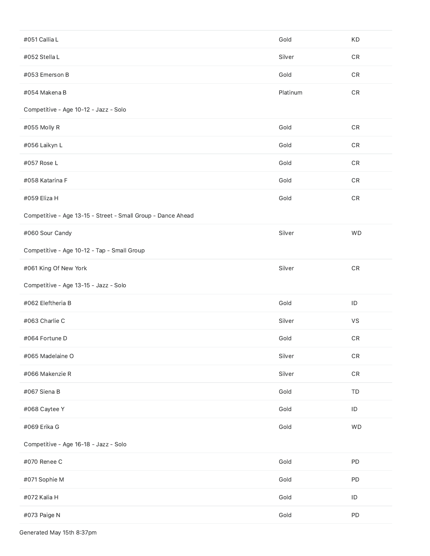| #051 Callia L                                                | Gold     | KD            |
|--------------------------------------------------------------|----------|---------------|
| #052 Stella L                                                | Silver   | ${\sf CR}$    |
| #053 Emerson B                                               | Gold     | ${\sf CR}$    |
| #054 Makena B                                                | Platinum | ${\sf CR}$    |
| Competitive - Age 10-12 - Jazz - Solo                        |          |               |
| #055 Molly R                                                 | Gold     | $\mathsf{CR}$ |
| #056 Laikyn L                                                | Gold     | ${\sf CR}$    |
| #057 Rose L                                                  | Gold     | ${\sf CR}$    |
| #058 Katarina F                                              | Gold     | ${\sf CR}$    |
| #059 Eliza H                                                 | Gold     | ${\sf CR}$    |
| Competitive - Age 13-15 - Street - Small Group - Dance Ahead |          |               |
| #060 Sour Candy                                              | Silver   | <b>WD</b>     |
| Competitive - Age 10-12 - Tap - Small Group                  |          |               |
| #061 King Of New York                                        | Silver   | $\mathsf{CR}$ |
| Competitive - Age 13-15 - Jazz - Solo                        |          |               |
| #062 Eleftheria B                                            | Gold     | $\sf ID$      |
| #063 Charlie C                                               | Silver   | VS            |
| #064 Fortune D                                               | Gold     | ${\sf CR}$    |
| #065 Madelaine O                                             | Silver   | ${\sf CR}$    |
| #066 Makenzie R                                              | Silver   | ${\sf CR}$    |
| #067 Siena B                                                 | Gold     | TD            |
| #068 Caytee Y                                                | Gold     | $\sf ID$      |
| #069 Erika G                                                 | Gold     | <b>WD</b>     |
| Competitive - Age 16-18 - Jazz - Solo                        |          |               |
| #070 Renee C                                                 | Gold     | PD            |
| #071 Sophie M                                                | Gold     | PD            |
| #072 Kalia H                                                 | Gold     | $\mathsf{ID}$ |
| #073 Paige N                                                 | Gold     | PD            |

Generated May 15th 8:37pm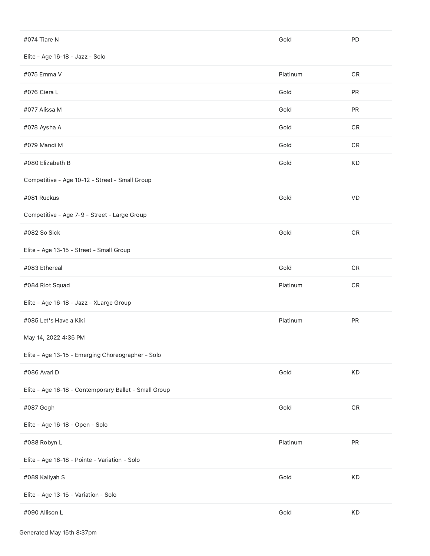| #074 Tiare N                                          | Gold     | PD            |
|-------------------------------------------------------|----------|---------------|
| Elite - Age 16-18 - Jazz - Solo                       |          |               |
| #075 Emma V                                           | Platinum | ${\sf CR}$    |
| #076 Ciera L                                          | Gold     | ${\sf PR}$    |
| #077 Alissa M                                         | Gold     | ${\sf PR}$    |
| #078 Aysha A                                          | Gold     | $\mathsf{CR}$ |
| #079 Mandi M                                          | Gold     | CR            |
| #080 Elizabeth B                                      | Gold     | KD            |
| Competitive - Age 10-12 - Street - Small Group        |          |               |
| #081 Ruckus                                           | Gold     | VD            |
| Competitive - Age 7-9 - Street - Large Group          |          |               |
| #082 So Sick                                          | Gold     | ${\sf CR}$    |
| Elite - Age 13-15 - Street - Small Group              |          |               |
| #083 Ethereal                                         | Gold     | ${\sf CR}$    |
| #084 Riot Squad                                       | Platinum | $\mathsf{CR}$ |
| Elite - Age 16-18 - Jazz - XLarge Group               |          |               |
| #085 Let's Have a Kiki                                | Platinum | ${\sf PR}$    |
| May 14, 2022 4:35 PM                                  |          |               |
| Elite - Age 13-15 - Emerging Choreographer - Solo     |          |               |
| #086 Avari D                                          | Gold     | KD            |
| Elite - Age 16-18 - Contemporary Ballet - Small Group |          |               |
| #087 Gogh                                             | Gold     | $\mathsf{CR}$ |
| Elite - Age 16-18 - Open - Solo                       |          |               |
| #088 Robyn L                                          | Platinum | ${\sf PR}$    |
| Elite - Age 16-18 - Pointe - Variation - Solo         |          |               |
| #089 Kaliyah S                                        | Gold     | KD            |
| Elite - Age 13-15 - Variation - Solo                  |          |               |
| #090 Allison L                                        | Gold     | KD            |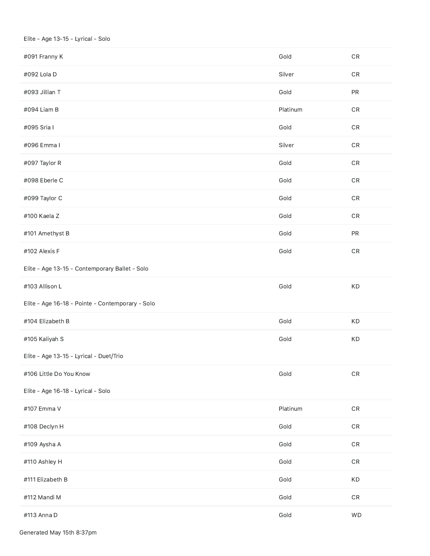#### Elite - Age 13-15 - Lyrical - Solo

| #091 Franny K                                    | Gold     | ${\sf CR}$    |
|--------------------------------------------------|----------|---------------|
| #092 Lola D                                      | Silver   | ${\sf CR}$    |
| #093 Jillian T                                   | Gold     | ${\sf PR}$    |
| #094 Liam B                                      | Platinum | $\mathsf{CR}$ |
| #095 Sria I                                      | Gold     | $\mathsf{CR}$ |
| #096 Emma I                                      | Silver   | $\mathsf{CR}$ |
| #097 Taylor R                                    | Gold     | $\mathsf{CR}$ |
| #098 Eberle C                                    | Gold     | $\mathsf{CR}$ |
| #099 Taylor C                                    | Gold     | ${\sf CR}$    |
| #100 Kaela Z                                     | Gold     | $\mathsf{CR}$ |
| #101 Amethyst B                                  | Gold     | PR            |
| #102 Alexis F                                    | Gold     | $\mathsf{CR}$ |
| Elite - Age 13-15 - Contemporary Ballet - Solo   |          |               |
| #103 Allison L                                   | Gold     | KD            |
| Elite - Age 16-18 - Pointe - Contemporary - Solo |          |               |
| #104 Elizabeth B                                 | Gold     | KD            |
| #105 Kaliyah S                                   | Gold     | KD            |
| Elite - Age 13-15 - Lyrical - Duet/Trio          |          |               |
| #106 Little Do You Know                          | Gold     | $\mathsf{CR}$ |
| Elite - Age 16-18 - Lyrical - Solo               |          |               |
| #107 Emma V                                      | Platinum | $\mathsf{CR}$ |
| #108 Declyn H                                    | Gold     | $\mathsf{CR}$ |
| #109 Aysha A                                     | Gold     | $\mathsf{CR}$ |
| #110 Ashley H                                    | Gold     | $\mathsf{CR}$ |
| #111 Elizabeth B                                 | Gold     | KD            |
| #112 Mandi M                                     | Gold     | $\mathsf{CR}$ |
| #113 Anna D                                      | Gold     | <b>WD</b>     |

Generated May 15th 8:37pm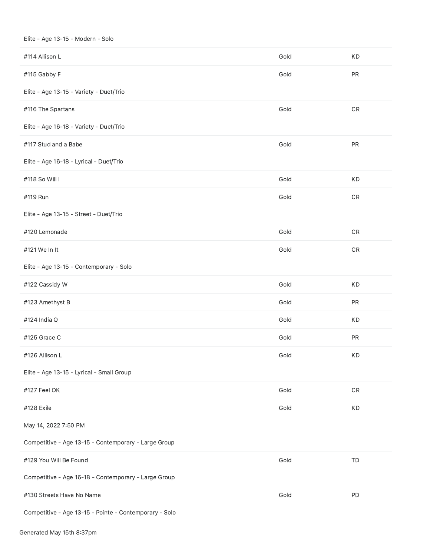#### Elite - Age 13-15 - Modern - Solo

| #114 Allison L                                         | Gold | <b>KD</b>     |
|--------------------------------------------------------|------|---------------|
| #115 Gabby F                                           | Gold | PR            |
| Elite - Age 13-15 - Variety - Duet/Trio                |      |               |
| #116 The Spartans                                      | Gold | ${\sf CR}$    |
| Elite - Age 16-18 - Variety - Duet/Trio                |      |               |
| #117 Stud and a Babe                                   | Gold | PR            |
| Elite - Age 16-18 - Lyrical - Duet/Trio                |      |               |
| #118 So Will I                                         | Gold | KD            |
| #119 Run                                               | Gold | $\mathsf{CR}$ |
| Elite - Age 13-15 - Street - Duet/Trio                 |      |               |
| #120 Lemonade                                          | Gold | ${\sf CR}$    |
| #121 We In It                                          | Gold | ${\sf CR}$    |
| Elite - Age 13-15 - Contemporary - Solo                |      |               |
| #122 Cassidy W                                         | Gold | KD            |
| #123 Amethyst B                                        | Gold | PR            |
| #124 India Q                                           | Gold | KD            |
| #125 Grace C                                           | Gold | PR            |
| #126 Allison L                                         | Gold | <b>KD</b>     |
| Elite - Age 13-15 - Lyrical - Small Group              |      |               |
| #127 Feel OK                                           | Gold | ${\sf CR}$    |
| #128 Exile                                             | Gold | KD            |
| May 14, 2022 7:50 PM                                   |      |               |
| Competitive - Age 13-15 - Contemporary - Large Group   |      |               |
| #129 You Will Be Found                                 | Gold | TD            |
| Competitive - Age 16-18 - Contemporary - Large Group   |      |               |
| #130 Streets Have No Name                              | Gold | PD            |
| Competitive - Age 13-15 - Pointe - Contemporary - Solo |      |               |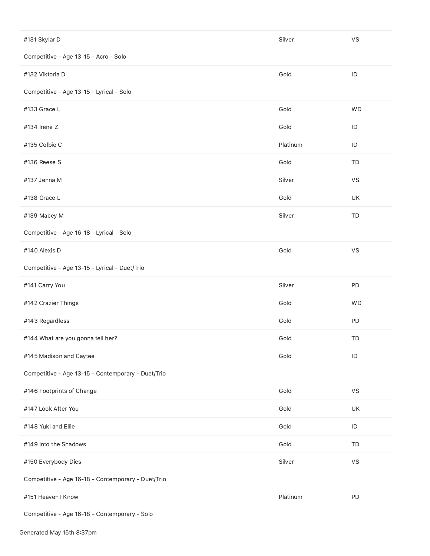| #131 Skylar D                                      | Silver   | VS            |
|----------------------------------------------------|----------|---------------|
| Competitive - Age 13-15 - Acro - Solo              |          |               |
| #132 Viktoria D                                    | Gold     | ID            |
| Competitive - Age 13-15 - Lyrical - Solo           |          |               |
| #133 Grace L                                       | Gold     | <b>WD</b>     |
| #134 Irene Z                                       | Gold     | $\sf ID$      |
| #135 Colbie C                                      | Platinum | ID            |
| #136 Reese S                                       | Gold     | TD            |
| #137 Jenna M                                       | Silver   | VS            |
| #138 Grace L                                       | Gold     | UK            |
| #139 Macey M                                       | Silver   | TD            |
| Competitive - Age 16-18 - Lyrical - Solo           |          |               |
| #140 Alexis D                                      | Gold     | VS            |
| Competitive - Age 13-15 - Lyrical - Duet/Trio      |          |               |
| #141 Carry You                                     | Silver   | PD            |
| #142 Crazier Things                                | Gold     | WD            |
| #143 Regardless                                    | Gold     | PD            |
| #144 What are you gonna tell her?                  | Gold     | TD            |
| #145 Madison and Caytee                            | Gold     | ID            |
| Competitive - Age 13-15 - Contemporary - Duet/Trio |          |               |
| #146 Footprints of Change                          | Gold     | VS            |
| #147 Look After You                                | Gold     | UK            |
| #148 Yuki and Ellie                                | Gold     | $\mathsf{ID}$ |
| #149 Into the Shadows                              | Gold     | TD            |
| #150 Everybody Dies                                | Silver   | <b>VS</b>     |
| Competitive - Age 16-18 - Contemporary - Duet/Trio |          |               |
| #151 Heaven I Know                                 | Platinum | PD            |
| Competitive - Age 16-18 - Contemporary - Solo      |          |               |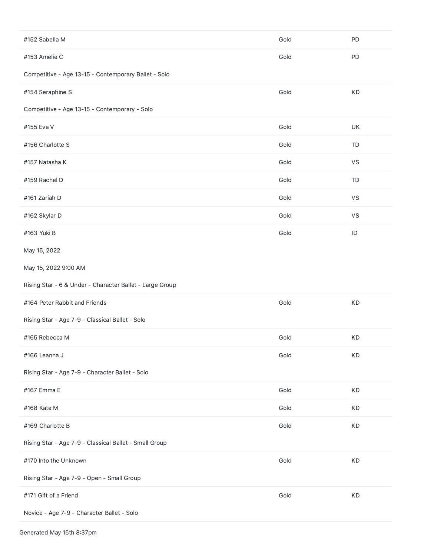| #152 Sabella M                                           | Gold | PD        |
|----------------------------------------------------------|------|-----------|
| #153 Amelie C                                            | Gold | PD        |
| Competitive - Age 13-15 - Contemporary Ballet - Solo     |      |           |
| #154 Seraphine S                                         | Gold | KD        |
| Competitive - Age 13-15 - Contemporary - Solo            |      |           |
| #155 Eva V                                               | Gold | UK        |
| #156 Charlotte S                                         | Gold | TD        |
| #157 Natasha K                                           | Gold | VS        |
| #159 Rachel D                                            | Gold | TD        |
| #161 Zariah D                                            | Gold | VS        |
| #162 Skylar D                                            | Gold | <b>VS</b> |
| #163 Yuki B                                              | Gold | ID        |
| May 15, 2022                                             |      |           |
| May 15, 2022 9:00 AM                                     |      |           |
|                                                          |      |           |
| Rising Star - 6 & Under - Character Ballet - Large Group |      |           |
| #164 Peter Rabbit and Friends                            | Gold | KD        |
| Rising Star - Age 7-9 - Classical Ballet - Solo          |      |           |
| #165 Rebecca M                                           | Gold | KD        |
| #166 Leanna J                                            | Gold | KD        |
| Rising Star - Age 7-9 - Character Ballet - Solo          |      |           |
| #167 Emma E                                              | Gold | KD        |
| #168 Kate M                                              | Gold | KD        |
| #169 Charlotte B                                         | Gold | KD        |
| Rising Star - Age 7-9 - Classical Ballet - Small Group   |      |           |
| #170 Into the Unknown                                    | Gold | KD        |
| Rising Star - Age 7-9 - Open - Small Group               |      |           |
| #171 Gift of a Friend                                    | Gold | KD        |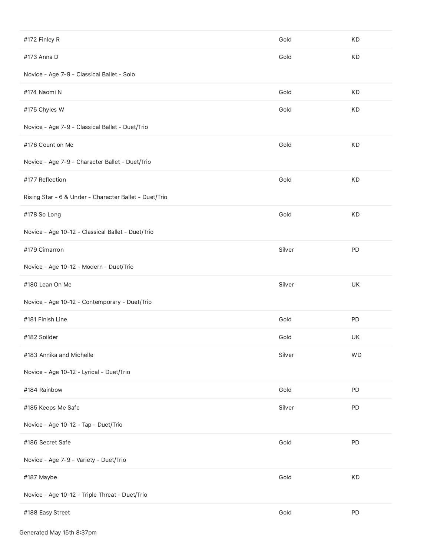| #172 Finley R                                          | Gold   | KD        |
|--------------------------------------------------------|--------|-----------|
| #173 Anna D                                            | Gold   | KD        |
| Novice - Age 7-9 - Classical Ballet - Solo             |        |           |
| #174 Naomi N                                           | Gold   | KD        |
| #175 Chyles W                                          | Gold   | KD        |
| Novice - Age 7-9 - Classical Ballet - Duet/Trio        |        |           |
| #176 Count on Me                                       | Gold   | KD        |
| Novice - Age 7-9 - Character Ballet - Duet/Trio        |        |           |
| #177 Reflection                                        | Gold   | KD        |
| Rising Star - 6 & Under - Character Ballet - Duet/Trio |        |           |
| #178 So Long                                           | Gold   | KD        |
| Novice - Age 10-12 - Classical Ballet - Duet/Trio      |        |           |
| #179 Cimarron                                          | Silver | PD        |
| Novice - Age 10-12 - Modern - Duet/Trio                |        |           |
|                                                        |        |           |
| #180 Lean On Me                                        | Silver | UK        |
| Novice - Age 10-12 - Contemporary - Duet/Trio          |        |           |
| #181 Finish Line                                       | Gold   | PD        |
| #182 Soilder                                           | Gold   | UK        |
| #183 Annika and Michelle                               | Silver | <b>WD</b> |
| Novice - Age 10-12 - Lyrical - Duet/Trio               |        |           |
| #184 Rainbow                                           | Gold   | PD        |
| #185 Keeps Me Safe                                     | Silver | PD        |
| Novice - Age 10-12 - Tap - Duet/Trio                   |        |           |
| #186 Secret Safe                                       | Gold   | PD        |
| Novice - Age 7-9 - Variety - Duet/Trio                 |        |           |
| #187 Maybe                                             | Gold   | KD        |
| Novice - Age 10-12 - Triple Threat - Duet/Trio         |        |           |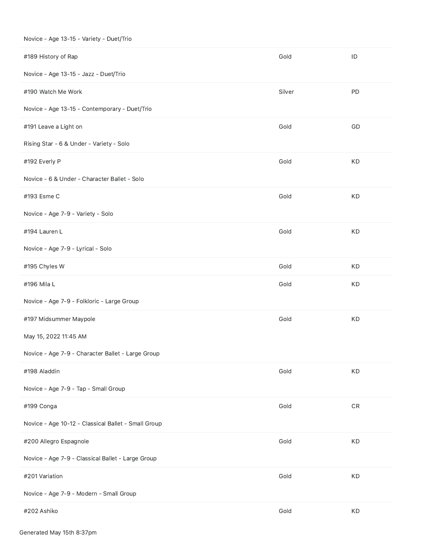#### Novice - Age 13-15 - Variety - Duet/Trio

| #189 History of Rap                                 | Gold   | ID         |
|-----------------------------------------------------|--------|------------|
| Novice - Age 13-15 - Jazz - Duet/Trio               |        |            |
| #190 Watch Me Work                                  | Silver | PD         |
| Novice - Age 13-15 - Contemporary - Duet/Trio       |        |            |
| #191 Leave a Light on                               | Gold   | GD         |
| Rising Star - 6 & Under - Variety - Solo            |        |            |
| #192 Everly P                                       | Gold   | KD         |
| Novice - 6 & Under - Character Ballet - Solo        |        |            |
| #193 Esme C                                         | Gold   | KD         |
| Novice - Age 7-9 - Variety - Solo                   |        |            |
| #194 Lauren L                                       | Gold   | KD         |
| Novice - Age 7-9 - Lyrical - Solo                   |        |            |
| #195 Chyles W                                       | Gold   | KD         |
| #196 Mila L                                         | Gold   | KD         |
| Novice - Age 7-9 - Folkloric - Large Group          |        |            |
| #197 Midsummer Maypole                              | Gold   | KD         |
| May 15, 2022 11:45 AM                               |        |            |
| Novice - Age 7-9 - Character Ballet - Large Group   |        |            |
| #198 Aladdin                                        | Gold   | KD         |
| Novice - Age 7-9 - Tap - Small Group                |        |            |
| #199 Conga                                          | Gold   | ${\sf CR}$ |
| Novice - Age 10-12 - Classical Ballet - Small Group |        |            |
| #200 Allegro Espagnole                              | Gold   | KD         |
| Novice - Age 7-9 - Classical Ballet - Large Group   |        |            |
| #201 Variation                                      | Gold   | KD         |
| Novice - Age 7-9 - Modern - Small Group             |        |            |
| #202 Ashiko                                         | Gold   | KD         |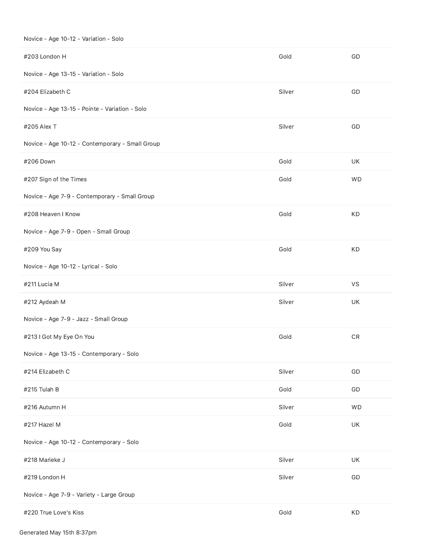|  |  | Novice - Age 10-12 - Variation - Solo |
|--|--|---------------------------------------|
|--|--|---------------------------------------|

| #203 London H                                   | Gold   | GD         |
|-------------------------------------------------|--------|------------|
| Novice - Age 13-15 - Variation - Solo           |        |            |
| #204 Elizabeth C                                | Silver | GD         |
| Novice - Age 13-15 - Pointe - Variation - Solo  |        |            |
| #205 Alex T                                     | Silver | GD         |
| Novice - Age 10-12 - Contemporary - Small Group |        |            |
| #206 Down                                       | Gold   | UK         |
| #207 Sign of the Times                          | Gold   | <b>WD</b>  |
| Novice - Age 7-9 - Contemporary - Small Group   |        |            |
| #208 Heaven I Know                              | Gold   | KD         |
| Novice - Age 7-9 - Open - Small Group           |        |            |
| #209 You Say                                    | Gold   | KD         |
| Novice - Age 10-12 - Lyrical - Solo             |        |            |
| #211 Lucia M                                    | Silver | VS         |
| #212 Aydeah M                                   | Silver | UK         |
| Novice - Age 7-9 - Jazz - Small Group           |        |            |
| #213 I Got My Eye On You                        | Gold   | ${\sf CR}$ |
| Novice - Age 13-15 - Contemporary - Solo        |        |            |
| #214 Elizabeth C                                | Silver | GD         |
| #215 Tulah B                                    | Gold   | GD         |
| #216 Autumn H                                   | Silver | WD         |
| #217 Hazel M                                    | Gold   | UK         |
| Novice - Age 10-12 - Contemporary - Solo        |        |            |
| #218 Marieke J                                  | Silver | UK         |
| #219 London H                                   | Silver | GD         |
| Novice - Age 7-9 - Variety - Large Group        |        |            |
| #220 True Love's Kiss                           | Gold   | KD         |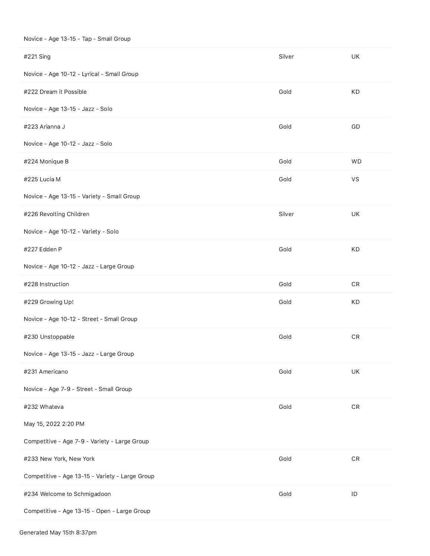#### Novice - Age 13-15 - Tap - Small Group

| #221 Sing                                       | Silver | <b>UK</b>     |
|-------------------------------------------------|--------|---------------|
| Novice - Age 10-12 - Lyrical - Small Group      |        |               |
| #222 Dream it Possible                          | Gold   | KD            |
| Novice - Age 13-15 - Jazz - Solo                |        |               |
| #223 Arianna J                                  | Gold   | GD            |
| Novice - Age 10-12 - Jazz - Solo                |        |               |
| #224 Monique B                                  | Gold   | <b>WD</b>     |
| #225 Lucia M                                    | Gold   | VS            |
| Novice - Age 13-15 - Variety - Small Group      |        |               |
| #226 Revolting Children                         | Silver | UK            |
| Novice - Age 10-12 - Variety - Solo             |        |               |
| #227 Edden P                                    | Gold   | KD            |
| Novice - Age 10-12 - Jazz - Large Group         |        |               |
| #228 Instruction                                | Gold   | ${\sf CR}$    |
| #229 Growing Up!                                | Gold   | KD            |
| Novice - Age 10-12 - Street - Small Group       |        |               |
| #230 Unstoppable                                | Gold   | ${\sf CR}$    |
| Novice - Age 13-15 - Jazz - Large Group         |        |               |
| #231 Americano                                  | Gold   | UK            |
| Novice - Age 7-9 - Street - Small Group         |        |               |
| #232 Whateva                                    | Gold   | ${\sf CR}$    |
| May 15, 2022 2:20 PM                            |        |               |
| Competitive - Age 7-9 - Variety - Large Group   |        |               |
| #233 New York, New York                         | Gold   | ${\sf CR}$    |
| Competitive - Age 13-15 - Variety - Large Group |        |               |
| #234 Welcome to Schmigadoon                     | Gold   | $\mathsf{ID}$ |
| Competitive - Age 13-15 - Open - Large Group    |        |               |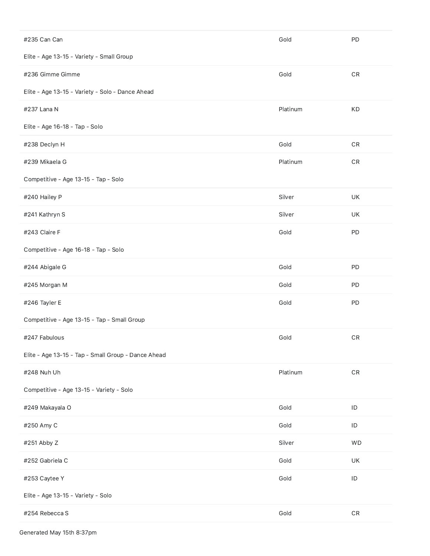| #235 Can Can                                        | Gold     | PD            |
|-----------------------------------------------------|----------|---------------|
| Elite - Age 13-15 - Variety - Small Group           |          |               |
| #236 Gimme Gimme                                    | Gold     | ${\sf CR}$    |
| Elite - Age 13-15 - Variety - Solo - Dance Ahead    |          |               |
| #237 Lana N                                         | Platinum | KD            |
| Elite - Age 16-18 - Tap - Solo                      |          |               |
| #238 Declyn H                                       | Gold     | ${\sf CR}$    |
| #239 Mikaela G                                      | Platinum | ${\sf CR}$    |
| Competitive - Age 13-15 - Tap - Solo                |          |               |
| #240 Hailey P                                       | Silver   | UK            |
| #241 Kathryn S                                      | Silver   | UK            |
| #243 Claire F                                       | Gold     | PD            |
| Competitive - Age 16-18 - Tap - Solo                |          |               |
| #244 Abigale G                                      | Gold     | PD            |
| #245 Morgan M                                       | Gold     | PD            |
|                                                     |          |               |
| #246 Tayler E                                       | Gold     | PD            |
| Competitive - Age 13-15 - Tap - Small Group         |          |               |
| #247 Fabulous                                       | Gold     | ${\sf CR}$    |
| Elite - Age 13-15 - Tap - Small Group - Dance Ahead |          |               |
| #248 Nuh Uh                                         | Platinum | $\mathsf{CR}$ |
| Competitive - Age 13-15 - Variety - Solo            |          |               |
| #249 Makayala O                                     | Gold     | $\sf ID$      |
| #250 Amy C                                          | Gold     | $\sf ID$      |
| #251 Abby Z                                         | Silver   | WD            |
| #252 Gabriela C                                     | Gold     | UK            |
| #253 Caytee Y                                       | Gold     | $\mathsf{ID}$ |
| Elite - Age 13-15 - Variety - Solo                  |          |               |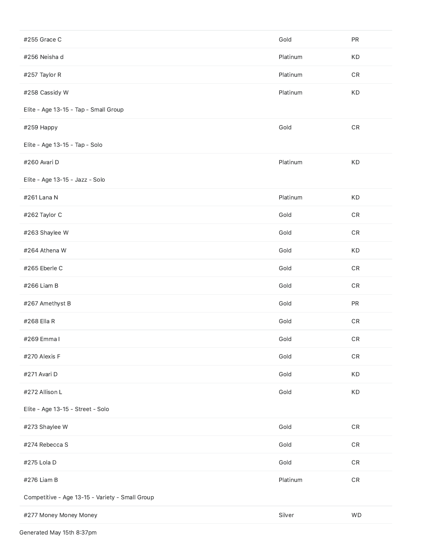| #255 Grace C                                    | Gold     | PR            |
|-------------------------------------------------|----------|---------------|
| #256 Neisha d                                   | Platinum | KD            |
| #257 Taylor R                                   | Platinum | ${\sf CR}$    |
| #258 Cassidy W                                  | Platinum | KD            |
| Elite - Age 13-15 - Tap - Small Group           |          |               |
| #259 Happy                                      | Gold     | ${\sf CR}$    |
| Elite - Age 13-15 - Tap - Solo                  |          |               |
| #260 Avari D                                    | Platinum | KD            |
| Elite - Age 13-15 - Jazz - Solo                 |          |               |
| #261 Lana N                                     | Platinum | KD            |
| #262 Taylor C                                   | Gold     | ${\sf CR}$    |
| #263 Shaylee W                                  | Gold     | ${\sf CR}$    |
| #264 Athena W                                   | Gold     | KD            |
| #265 Eberle C                                   | Gold     | ${\sf CR}$    |
| #266 Liam B                                     | Gold     | ${\sf CR}$    |
| #267 Amethyst B                                 | Gold     | PR            |
| #268 Ella R                                     | Gold     | $\mathsf{CR}$ |
| #269 Emma I                                     | Gold     | ${\sf CR}$    |
| #270 Alexis F                                   | Gold     | ${\sf CR}$    |
| #271 Avari D                                    | Gold     | KD            |
| #272 Allison L                                  | Gold     | KD            |
| Elite - Age 13-15 - Street - Solo               |          |               |
| #273 Shaylee W                                  | Gold     | ${\sf CR}$    |
| #274 Rebecca S                                  | Gold     | ${\sf CR}$    |
| #275 Lola D                                     | Gold     | ${\sf CR}$    |
| #276 Liam B                                     | Platinum | ${\sf CR}$    |
| Competitive - Age 13-15 - Variety - Small Group |          |               |
| #277 Money Money Money                          | Silver   | <b>WD</b>     |

Generated May 15th 8:37pm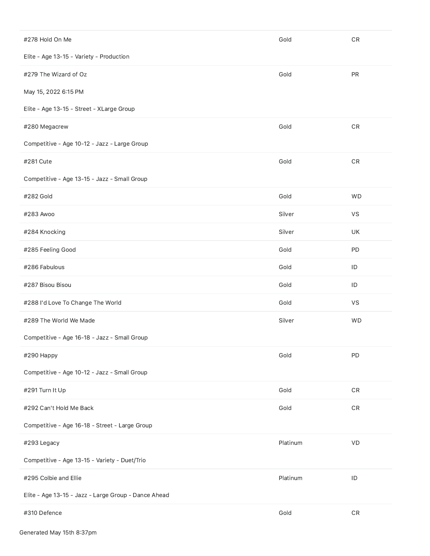| #278 Hold On Me                                      | Gold     | ${\sf CR}$    |
|------------------------------------------------------|----------|---------------|
| Elite - Age 13-15 - Variety - Production             |          |               |
| #279 The Wizard of Oz                                | Gold     | PR            |
| May 15, 2022 6:15 PM                                 |          |               |
| Elite - Age 13-15 - Street - XLarge Group            |          |               |
| #280 Megacrew                                        | Gold     | ${\sf CR}$    |
| Competitive - Age 10-12 - Jazz - Large Group         |          |               |
| #281 Cute                                            | Gold     | ${\sf CR}$    |
| Competitive - Age 13-15 - Jazz - Small Group         |          |               |
| #282 Gold                                            | Gold     | <b>WD</b>     |
| #283 Awoo                                            | Silver   | VS            |
| #284 Knocking                                        | Silver   | UK            |
| #285 Feeling Good                                    | Gold     | PD            |
| #286 Fabulous                                        | Gold     | ID            |
| #287 Bisou Bisou                                     | Gold     | ID            |
| #288 I'd Love To Change The World                    | Gold     | VS            |
| #289 The World We Made                               | Silver   | <b>WD</b>     |
| Competitive - Age 16-18 - Jazz - Small Group         |          |               |
| #290 Happy                                           | Gold     | PD            |
| Competitive - Age 10-12 - Jazz - Small Group         |          |               |
| #291 Turn It Up                                      | Gold     | ${\sf CR}$    |
| #292 Can't Hold Me Back                              | Gold     | ${\sf CR}$    |
| Competitive - Age 16-18 - Street - Large Group       |          |               |
| #293 Legacy                                          | Platinum | VD            |
| Competitive - Age 13-15 - Variety - Duet/Trio        |          |               |
| #295 Colbie and Ellie                                | Platinum | ID            |
| Elite - Age 13-15 - Jazz - Large Group - Dance Ahead |          |               |
| #310 Defence                                         | Gold     | $\mathsf{CR}$ |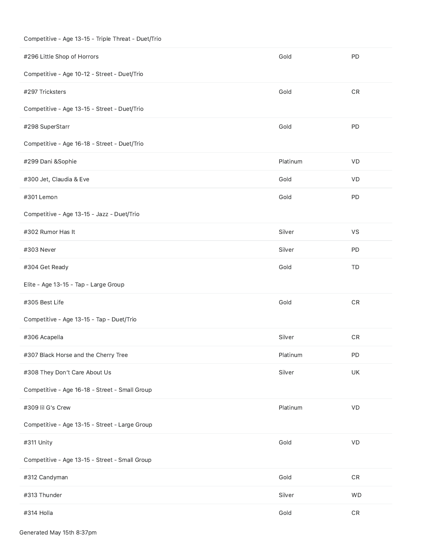# Competitive - Age 13-15 - Triple Threat - Duet/Trio

| #296 Little Shop of Horrors                    | Gold     | PD                     |
|------------------------------------------------|----------|------------------------|
| Competitive - Age 10-12 - Street - Duet/Trio   |          |                        |
| #297 Tricksters                                | Gold     | ${\sf CR}$             |
| Competitive - Age 13-15 - Street - Duet/Trio   |          |                        |
| #298 SuperStarr                                | Gold     | PD                     |
| Competitive - Age 16-18 - Street - Duet/Trio   |          |                        |
| #299 Dani &Sophie                              | Platinum | VD                     |
| #300 Jet, Claudia & Eve                        | Gold     | VD                     |
| #301 Lemon                                     | Gold     | PD                     |
| Competitive - Age 13-15 - Jazz - Duet/Trio     |          |                        |
| #302 Rumor Has It                              | Silver   | VS                     |
| #303 Never                                     | Silver   | PD                     |
| #304 Get Ready                                 | Gold     | TD                     |
| Elite - Age 13-15 - Tap - Large Group          |          |                        |
| #305 Best Life                                 | Gold     | ${\sf CR}$             |
| Competitive - Age 13-15 - Tap - Duet/Trio      |          |                        |
| #306 Acapella                                  | Silver   | ${\sf CR}$             |
| #307 Black Horse and the Cherry Tree           | Platinum | PD                     |
| #308 They Don't Care About Us                  | Silver   | UK                     |
| Competitive - Age 16-18 - Street - Small Group |          |                        |
| #309 lil G's Crew                              | Platinum | VD                     |
| Competitive - Age 13-15 - Street - Large Group |          |                        |
| #311 Unity                                     | Gold     | $\mathsf{V}\mathsf{D}$ |
| Competitive - Age 13-15 - Street - Small Group |          |                        |
| #312 Candyman                                  | Gold     | ${\sf CR}$             |
| #313 Thunder                                   | Silver   | WD                     |
| #314 Holla                                     | Gold     | ${\sf CR}$             |